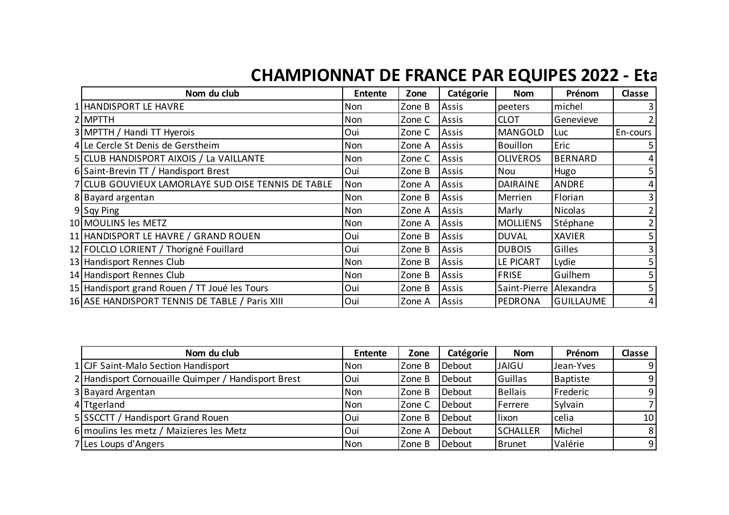## **CHAMPIONNAT DE FRANCE PAR EQUIPES 2022 - Eta**

| Nom du club                                        | <b>Entente</b> | Zone   | Catégorie | <b>Nom</b>      | Prénom           | Classe   |
|----------------------------------------------------|----------------|--------|-----------|-----------------|------------------|----------|
| 1 HANDISPORT LE HAVRE                              | Non            | Zone B | Assis     | peeters         | michel           |          |
| 2 MPTTH                                            | Non            | Zone C | Assis     | <b>CLOT</b>     | Genevieve        |          |
| 3 MPTTH / Handi TT Hyerois                         | Oui            | Zone C | Assis     | <b>MANGOLD</b>  | Luc              | En-cours |
| 4 Le Cercle St Denis de Gerstheim                  | Non            | Zone A | Assis     | <b>Bouillon</b> | Eric             |          |
| 5 CLUB HANDISPORT AIXOIS / La VAILLANTE            | Non            | Zone C | Assis     | <b>OLIVEROS</b> | <b>BERNARD</b>   |          |
| 6 Saint-Brevin TT / Handisport Brest               | Oui            | Zone B | Assis     | Nou             | Hugo             |          |
| 7 CLUB GOUVIEUX LAMORLAYE SUD OISE TENNIS DE TABLE | Non            | Zone A | Assis     | <b>DAIRAINE</b> | <b>ANDRE</b>     |          |
| 8 Bayard argentan                                  | Non            | Zone B | Assis     | Merrien         | Florian          |          |
| 9 Sqy Ping                                         | Non            | Zone A | Assis     | Marly           | <b>Nicolas</b>   |          |
| 10 MOULINS les METZ                                | Non            | Zone A | Assis     | <b>MOLLIENS</b> | Stéphane         |          |
| 11   HANDISPORT LE HAVRE / GRAND ROUEN             | Oui            | Zone B | Assis     | <b>DUVAL</b>    | <b>XAVIER</b>    |          |
| 12 FOLCLO LORIENT / Thorigné Fouillard             | Oui            | Zone B | Assis     | <b>DUBOIS</b>   | Gilles           |          |
| 13 Handisport Rennes Club                          | Non            | Zone B | Assis     | LE PICART       | Lydie            |          |
| 14 Handisport Rennes Club                          | Non            | Zone B | Assis     | <b>FRISE</b>    | Guilhem          |          |
| 15 Handisport grand Rouen / TT Joué les Tours      | Oui            | Zone B | Assis     | Saint-Pierre    | Alexandra        |          |
| 16 ASE HANDISPORT TENNIS DE TABLE / Paris XIII     | Oui            | Zone A | Assis     | PEDRONA         | <b>GUILLAUME</b> | 4        |

| Nom du club                                         | <b>Entente</b> | Zone   | Catégorie | <b>Nom</b>      | Prénom    | <b>Classe</b>   |
|-----------------------------------------------------|----------------|--------|-----------|-----------------|-----------|-----------------|
| 1 CJF Saint-Malo Section Handisport                 | Non            | Zone B | Debout    | <b>JAIGU</b>    | Jean-Yves | -91             |
| 2 Handisport Cornouaille Quimper / Handisport Brest | Oui            | Zone B | Debout    | Guillas         | Baptiste  | -9 I            |
| 3 Bayard Argentan                                   | <b>Non</b>     | Zone B | Debout    | <b>Bellais</b>  | Frederic  | -9 I            |
| 4 Ttgerland                                         | Non            | Zone C | Debout    | Ferrere         | Sylvain   |                 |
| 5 SSCCTT / Handisport Grand Rouen                   | Oui            | Zone B | Debout    | lixon           | celia     | 10 <sup>1</sup> |
| 6 moulins les metz / Maizieres les Metz             | Oui            | Zone A | Debout    | <b>SCHALLER</b> | Michel    | 81              |
| 7 Les Loups d'Angers                                | Non            | Zone B | Debout    | <b>Brunet</b>   | Valérie   | 9               |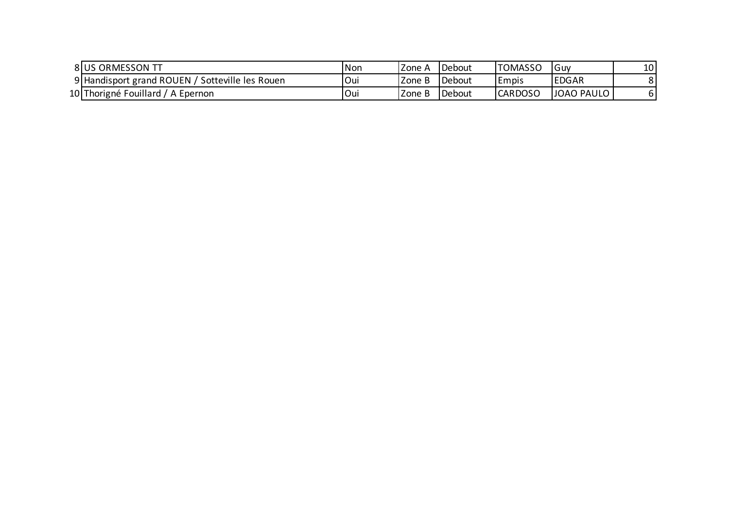| 8 US ORMESSON TT                                | <b>Non</b> | Zone A | Debout          | <b>TOMASSO</b> | <b>IGuv</b>  | 10 <sup>1</sup> |
|-------------------------------------------------|------------|--------|-----------------|----------------|--------------|-----------------|
| 9 Handisport grand ROUEN / Sotteville les Rouen | Oui        | Zone B | <b>I</b> Debout | l Empis        | <b>EDGAR</b> |                 |
| 10 Thorigné Fouillard / A Epernon               | Oui        | Zone B | <b>I</b> Debout | <b>CARDOSO</b> | JOAO PAULO   |                 |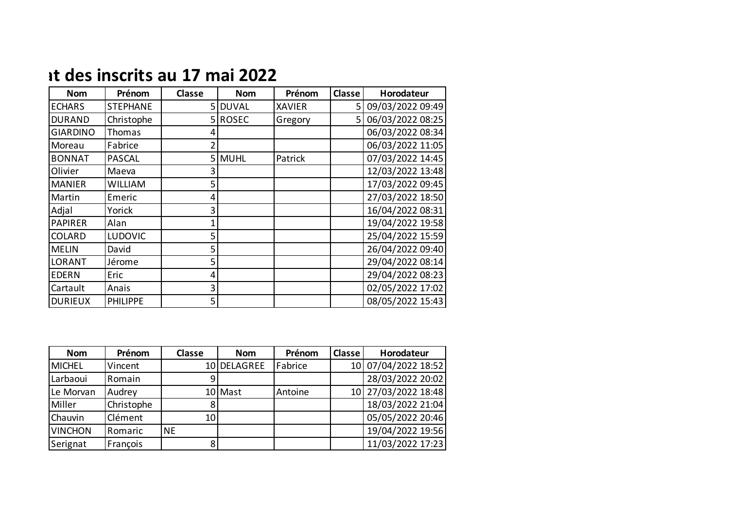## **Ref. 2022** *R* **CHAMPION 17 mai 2022**

| <b>Nom</b>      | Prénom          | <b>Classe</b> | <b>Nom</b>   | Prénom        | <b>Classe</b> | Horodateur       |
|-----------------|-----------------|---------------|--------------|---------------|---------------|------------------|
| <b>ECHARS</b>   | <b>STEPHANE</b> | 51            | <b>DUVAL</b> | <b>XAVIER</b> | 5             | 09/03/2022 09:49 |
| <b>DURAND</b>   | Christophe      |               | 5 ROSEC      | Gregory       | 5.            | 06/03/2022 08:25 |
| <b>GIARDINO</b> | Thomas          |               |              |               |               | 06/03/2022 08:34 |
| Moreau          | Fabrice         |               |              |               |               | 06/03/2022 11:05 |
| <b>BONNAT</b>   | <b>PASCAL</b>   |               | 5 MUHL       | Patrick       |               | 07/03/2022 14:45 |
| Olivier         | Maeva           | 3             |              |               |               | 12/03/2022 13:48 |
| <b>MANIER</b>   | <b>WILLIAM</b>  | 5             |              |               |               | 17/03/2022 09:45 |
| Martin          | Emeric          | 4             |              |               |               | 27/03/2022 18:50 |
| Adjal           | Yorick          | 3             |              |               |               | 16/04/2022 08:31 |
| <b>PAPIRER</b>  | Alan            |               |              |               |               | 19/04/2022 19:58 |
| <b>COLARD</b>   | <b>LUDOVIC</b>  | 5             |              |               |               | 25/04/2022 15:59 |
| <b>MELIN</b>    | David           | 5             |              |               |               | 26/04/2022 09:40 |
| <b>LORANT</b>   | Jérome          | 5             |              |               |               | 29/04/2022 08:14 |
| <b>EDERN</b>    | Eric            | 4             |              |               |               | 29/04/2022 08:23 |
| Cartault        | Anais           | 3             |              |               |               | 02/05/2022 17:02 |
| <b>DURIEUX</b>  | <b>PHILIPPE</b> | 5             |              |               |               | 08/05/2022 15:43 |

| <b>Nom</b>     | Prénom     | <b>Classe</b> | <b>Nom</b>  | Prénom  | Classe | Horodateur          |
|----------------|------------|---------------|-------------|---------|--------|---------------------|
| <b>MICHEL</b>  | Vincent    |               | 10 DELAGREE | Fabrice |        | 10 07/04/2022 18:52 |
| Larbaoui       | Romain     |               |             |         |        | 28/03/2022 20:02    |
| Le Morvan      | Audrey     |               | 10 Mast     | Antoine |        | 10 27/03/2022 18:48 |
| Miller         | Christophe |               |             |         |        | 18/03/2022 21:04    |
| Chauvin        | Clément    | 10            |             |         |        | 05/05/2022 20:46    |
| <b>VINCHON</b> | Romaric    | <b>NE</b>     |             |         |        | 19/04/2022 19:56    |
| Serignat       | François   |               |             |         |        | 11/03/2022 17:23    |